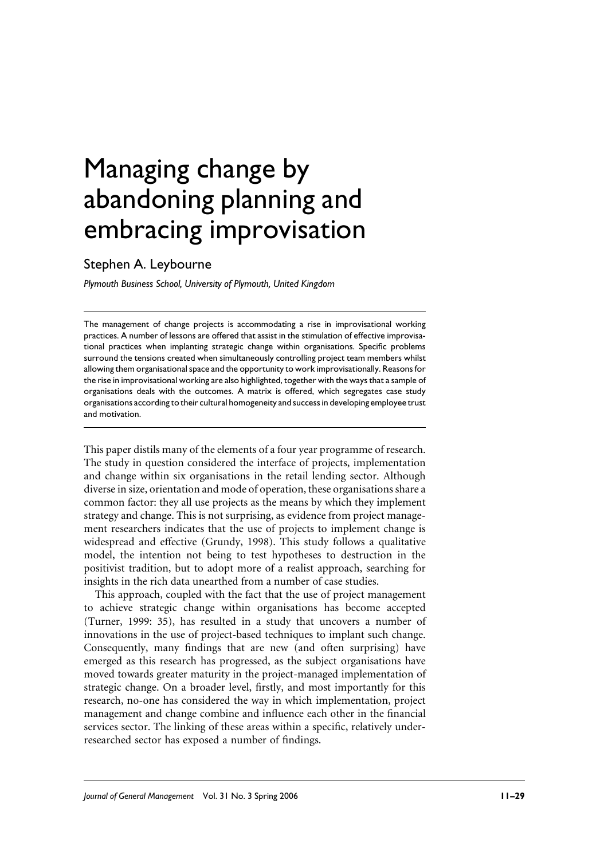# Managing change by abandoning planning and embracing improvisation

# Stephen A. Leybourne

Plymouth Business School, University of Plymouth, United Kingdom

The management of change projects is accommodating a rise in improvisational working practices. A number of lessons are offered that assist in the stimulation of effective improvisational practices when implanting strategic change within organisations. Specific problems surround the tensions created when simultaneously controlling project team members whilst allowing them organisational space and the opportunity to work improvisationally. Reasons for the rise in improvisational working are also highlighted, together with the ways that a sample of organisations deals with the outcomes. A matrix is offered, which segregates case study organisations according to their cultural homogeneity and success in developing employee trust and motivation

This paper distils many of the elements of a four year programme of research. The study in question considered the interface of projects, implementation and change within six organisations in the retail lending sector. Although diverse in size, orientation and mode of operation, these organisations share a common factor: they all use projects as the means by which they implement strategy and change. This is not surprising, as evidence from project management researchers indicates that the use of projects to implement change is widespread and effective (Grundy, 1998). This study follows a qualitative model, the intention not being to test hypotheses to destruction in the positivist tradition, but to adopt more of a realist approach, searching for insights in the rich data unearthed from a number of case studies.

This approach, coupled with the fact that the use of project management to achieve strategic change within organisations has become accepted (Turner, 1999: 35), has resulted in a study that uncovers a number of innovations in the use of project-based techniques to implant such change. Consequently, many findings that are new (and often surprising) have emerged as this research has progressed, as the subject organisations have moved towards greater maturity in the project-managed implementation of strategic change. On a broader level, firstly, and most importantly for this research, no-one has considered the way in which implementation, project management and change combine and influence each other in the financial services sector. The linking of these areas within a specific, relatively underresearched sector has exposed a number of findings.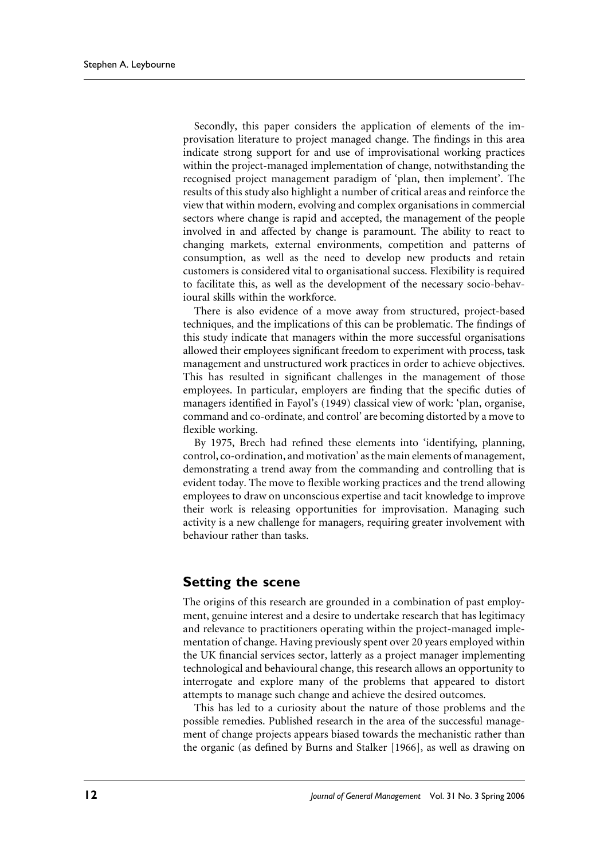Secondly, this paper considers the application of elements of the improvisation literature to project managed change. The findings in this area indicate strong support for and use of improvisational working practices within the project-managed implementation of change, notwithstanding the recognised project management paradigm of 'plan, then implement'. The results of this study also highlight a number of critical areas and reinforce the view that within modern, evolving and complex organisations in commercial sectors where change is rapid and accepted, the management of the people involved in and affected by change is paramount. The ability to react to changing markets, external environments, competition and patterns of consumption, as well as the need to develop new products and retain customers is considered vital to organisational success. Flexibility is required to facilitate this, as well as the development of the necessary socio-behavioural skills within the workforce.

There is also evidence of a move away from structured, project-based techniques, and the implications of this can be problematic. The findings of this study indicate that managers within the more successful organisations allowed their employees significant freedom to experiment with process, task management and unstructured work practices in order to achieve objectives. This has resulted in significant challenges in the management of those employees. In particular, employers are finding that the specific duties of managers identified in Fayol's (1949) classical view of work: 'plan, organise, command and co-ordinate, and control' are becoming distorted by a move to flexible working.

By 1975, Brech had refined these elements into 'identifying, planning, control, co-ordination, and motivation' as the main elements of management, demonstrating a trend away from the commanding and controlling that is evident today. The move to flexible working practices and the trend allowing employees to draw on unconscious expertise and tacit knowledge to improve their work is releasing opportunities for improvisation. Managing such activity is a new challenge for managers, requiring greater involvement with behaviour rather than tasks.

#### **Setting the scene**

The origins of this research are grounded in a combination of past employment, genuine interest and a desire to undertake research that has legitimacy and relevance to practitioners operating within the project-managed implementation of change. Having previously spent over 20 years employed within the UK financial services sector, latterly as a project manager implementing technological and behavioural change, this research allows an opportunity to interrogate and explore many of the problems that appeared to distort attempts to manage such change and achieve the desired outcomes.

This has led to a curiosity about the nature of those problems and the possible remedies. Published research in the area of the successful management of change projects appears biased towards the mechanistic rather than the organic (as defined by Burns and Stalker [1966], as well as drawing on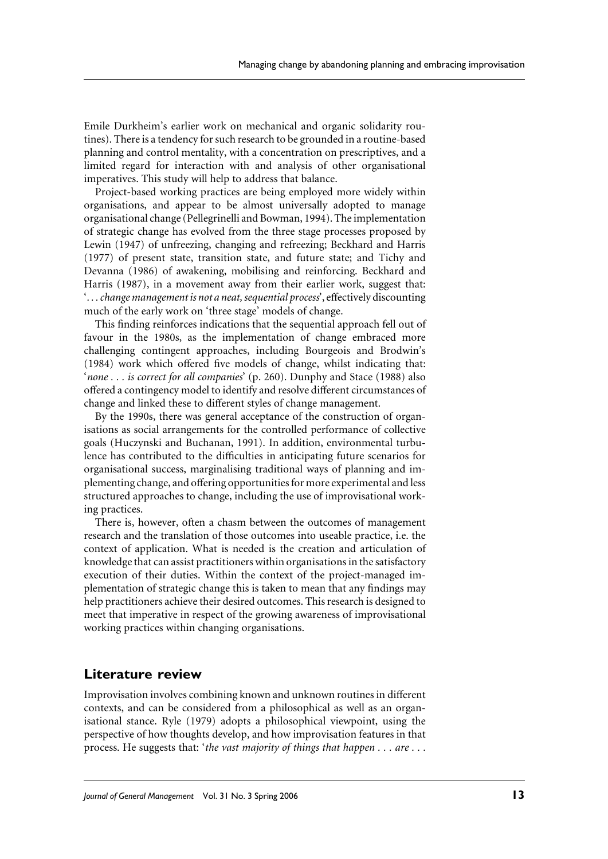Emile Durkheim's earlier work on mechanical and organic solidarity routines). There is a tendency for such research to be grounded in a routine-based planning and control mentality, with a concentration on prescriptives, and a limited regard for interaction with and analysis of other organisational imperatives. This study will help to address that balance.

Project-based working practices are being employed more widely within organisations, and appear to be almost universally adopted to manage organisational change (Pellegrinelli and Bowman, 1994). The implementation of strategic change has evolved from the three stage processes proposed by Lewin (1947) of unfreezing, changing and refreezing; Beckhard and Harris (1977) of present state, transition state, and future state; and Tichy and Devanna (1986) of awakening, mobilising and reinforcing. Beckhard and Harris (1987), in a movement away from their earlier work, suggest that: '... change management is not a neat, sequential process', effectively discounting much of the early work on 'three stage' models of change.

This finding reinforces indications that the sequential approach fell out of favour in the 1980s, as the implementation of change embraced more challenging contingent approaches, including Bourgeois and Brodwin's (1984) work which offered five models of change, whilst indicating that: 'none . . . is correct for all companies' (p. 260). Dunphy and Stace (1988) also offered a contingency model to identify and resolve different circumstances of change and linked these to different styles of change management.

By the 1990s, there was general acceptance of the construction of organisations as social arrangements for the controlled performance of collective goals (Huczynski and Buchanan, 1991). In addition, environmental turbulence has contributed to the difficulties in anticipating future scenarios for organisational success, marginalising traditional ways of planning and implementing change, and offering opportunities for more experimental and less structured approaches to change, including the use of improvisational working practices.

There is, however, often a chasm between the outcomes of management research and the translation of those outcomes into useable practice, i.e. the context of application. What is needed is the creation and articulation of knowledge that can assist practitioners within organisations in the satisfactory execution of their duties. Within the context of the project-managed implementation of strategic change this is taken to mean that any findings may help practitioners achieve their desired outcomes. This research is designed to meet that imperative in respect of the growing awareness of improvisational working practices within changing organisations.

## **Literature review**

Improvisation involves combining known and unknown routines in different contexts, and can be considered from a philosophical as well as an organisational stance. Ryle (1979) adopts a philosophical viewpoint, using the perspective of how thoughts develop, and how improvisation features in that process. He suggests that: 'the vast majority of things that happen . . . are . . .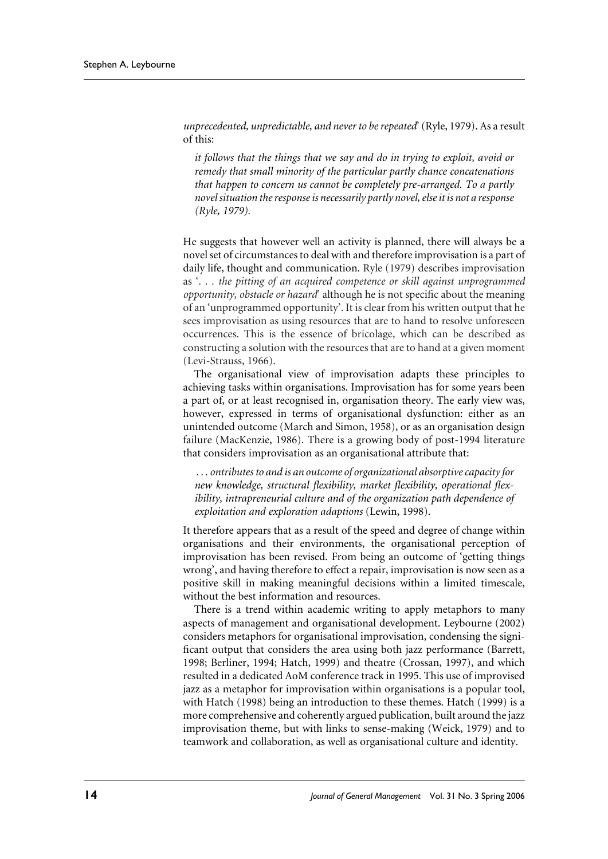unprecedented, unpredictable, and never to be repeated' (Ryle, 1979). As a result of this:

it follows that the things that we say and do in trying to exploit, avoid or remedy that small minority of the particular partly chance concatenations that happen to concern us cannot be completely pre-arranged. To a partly novel situation the response is necessarily partly novel, else it is not a response (Ryle, 1979).

He suggests that however well an activity is planned, there will always be a novel set of circumstances to deal with and therefore improvisation is a part of daily life, thought and communication. Ryle (1979) describes improvisation as '... the pitting of an acquired competence or skill against unprogrammed opportunity, obstacle or hazard' although he is not specific about the meaning of an 'unprogrammed opportunity'. It is clear from his written output that he sees improvisation as using resources that are to hand to resolve unforeseen occurrences. This is the essence of bricolage, which can be described as constructing a solution with the resources that are to hand at a given moment (Levi-Strauss, 1966).

The organisational view of improvisation adapts these principles to achieving tasks within organisations. Improvisation has for some years been a part of, or at least recognised in, organisation theory. The early view was, however, expressed in terms of organisational dysfunction: either as an unintended outcome (March and Simon, 1958), or as an organisation design failure (MacKenzie, 1986). There is a growing body of post-1994 literature that considers improvisation as an organisational attribute that:

... ontributes to and is an outcome of organizational absorptive capacity for new knowledge, structural flexibility, market flexibility, operational flexibility, intrapreneurial culture and of the organization path dependence of exploitation and exploration adaptions (Lewin, 1998).

It therefore appears that as a result of the speed and degree of change within organisations and their environments, the organisational perception of improvisation has been revised. From being an outcome of 'getting things wrong', and having therefore to effect a repair, improvisation is now seen as a positive skill in making meaningful decisions within a limited timescale, without the best information and resources.

There is a trend within academic writing to apply metaphors to many aspects of management and organisational development. Leybourne (2002) considers metaphors for organisational improvisation, condensing the significant output that considers the area using both jazz performance (Barrett, 1998; Berliner, 1994; Hatch, 1999) and theatre (Crossan, 1997), and which resulted in a dedicated AoM conference track in 1995. This use of improvised jazz as a metaphor for improvisation within organisations is a popular tool, with Hatch (1998) being an introduction to these themes. Hatch (1999) is a more comprehensive and coherently argued publication, built around the jazz improvisation theme, but with links to sense-making (Weick, 1979) and to teamwork and collaboration, as well as organisational culture and identity.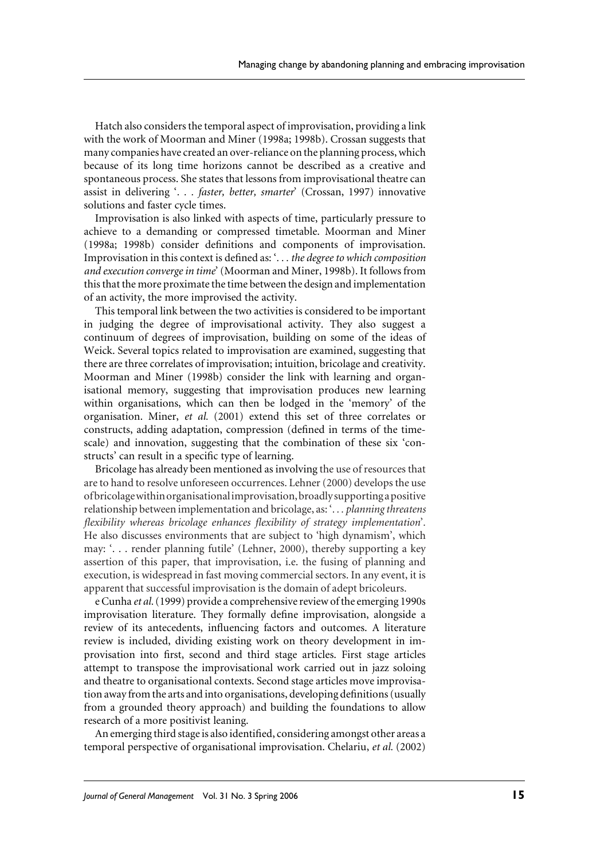Hatch also considers the temporal aspect of improvisation, providing a link with the work of Moorman and Miner (1998a; 1998b). Crossan suggests that many companies have created an over-reliance on the planning process, which because of its long time horizons cannot be described as a creative and spontaneous process. She states that lessons from improvisational theatre can assist in delivering '. . . faster, better, smarter' (Crossan, 1997) innovative solutions and faster cycle times.

Improvisation is also linked with aspects of time, particularly pressure to achieve to a demanding or compressed timetable. Moorman and Miner (1998a; 1998b) consider definitions and components of improvisation. Improvisation in this context is defined as: '... the degree to which composition and execution converge in time' (Moorman and Miner, 1998b). It follows from this that the more proximate the time between the design and implementation of an activity, the more improvised the activity.

This temporal link between the two activities is considered to be important in judging the degree of improvisational activity. They also suggest a continuum of degrees of improvisation, building on some of the ideas of Weick. Several topics related to improvisation are examined, suggesting that there are three correlates of improvisation; intuition, bricolage and creativity. Moorman and Miner (1998b) consider the link with learning and organisational memory, suggesting that improvisation produces new learning within organisations, which can then be lodged in the 'memory' of the organisation. Miner, et al. (2001) extend this set of three correlates or constructs, adding adaptation, compression (defined in terms of the timescale) and innovation, suggesting that the combination of these six 'constructs' can result in a specific type of learning.

Bricolage has already been mentioned as involving the use of resources that are to hand to resolve unforeseen occurrences. Lehner (2000) develops the use of bricolage within organisational improvisation, broadly supporting a positive relationship between implementation and bricolage, as: '... planning threatens flexibility whereas bricolage enhances flexibility of strategy implementation'. He also discusses environments that are subject to 'high dynamism', which may: '... render planning futile' (Lehner, 2000), thereby supporting a key assertion of this paper, that improvisation, i.e. the fusing of planning and execution, is widespread in fast moving commercial sectors. In any event, it is apparent that successful improvisation is the domain of adept bricoleurs.

e Cunha et al. (1999) provide a comprehensive review of the emerging 1990s improvisation literature. They formally define improvisation, alongside a review of its antecedents, influencing factors and outcomes. A literature review is included, dividing existing work on theory development in improvisation into first, second and third stage articles. First stage articles attempt to transpose the improvisational work carried out in jazz soloing and theatre to organisational contexts. Second stage articles move improvisation away from the arts and into organisations, developing definitions (usually from a grounded theory approach) and building the foundations to allow research of a more positivist leaning.

An emerging third stage is also identified, considering amongst other areas a temporal perspective of organisational improvisation. Chelariu, et al. (2002)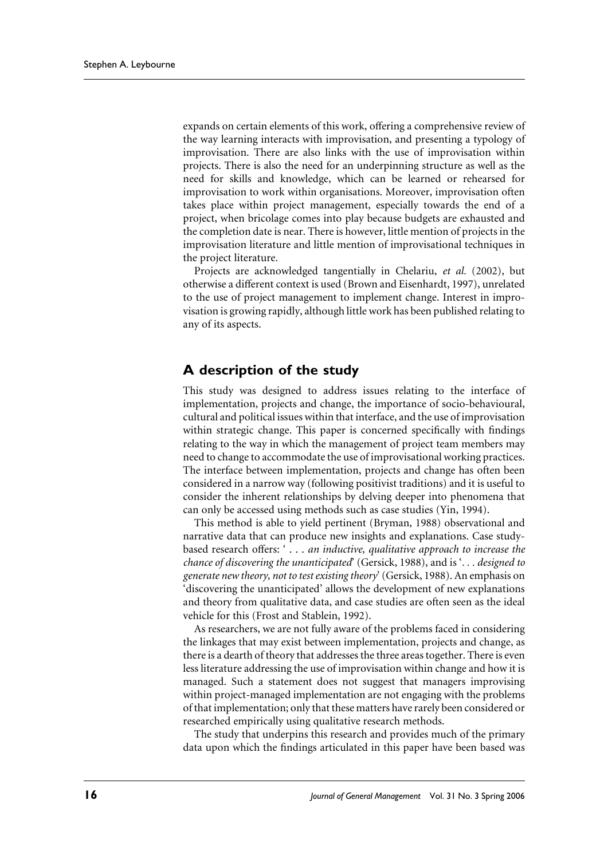expands on certain elements of this work, offering a comprehensive review of the way learning interacts with improvisation, and presenting a typology of improvisation. There are also links with the use of improvisation within projects. There is also the need for an underpinning structure as well as the need for skills and knowledge, which can be learned or rehearsed for improvisation to work within organisations. Moreover, improvisation often takes place within project management, especially towards the end of a project, when bricolage comes into play because budgets are exhausted and the completion date is near. There is however, little mention of projects in the improvisation literature and little mention of improvisational techniques in the project literature.

Projects are acknowledged tangentially in Chelariu, et al. (2002), but otherwise a different context is used (Brown and Eisenhardt, 1997), unrelated to the use of project management to implement change. Interest in improvisation is growing rapidly, although little work has been published relating to any of its aspects.

## A description of the study

This study was designed to address issues relating to the interface of implementation, projects and change, the importance of socio-behavioural, cultural and political issues within that interface, and the use of improvisation within strategic change. This paper is concerned specifically with findings relating to the way in which the management of project team members may need to change to accommodate the use of improvisational working practices. The interface between implementation, projects and change has often been considered in a narrow way (following positivist traditions) and it is useful to consider the inherent relationships by delving deeper into phenomena that can only be accessed using methods such as case studies (Yin, 1994).

This method is able to yield pertinent (Bryman, 1988) observational and narrative data that can produce new insights and explanations. Case studybased research offers: '... an inductive, qualitative approach to increase the chance of discovering the unanticipated' (Gersick, 1988), and is '... designed to generate new theory, not to test existing theory' (Gersick, 1988). An emphasis on 'discovering the unanticipated' allows the development of new explanations and theory from qualitative data, and case studies are often seen as the ideal vehicle for this (Frost and Stablein, 1992).

As researchers, we are not fully aware of the problems faced in considering the linkages that may exist between implementation, projects and change, as there is a dearth of theory that addresses the three areas together. There is even less literature addressing the use of improvisation within change and how it is managed. Such a statement does not suggest that managers improvising within project-managed implementation are not engaging with the problems of that implementation; only that these matters have rarely been considered or researched empirically using qualitative research methods.

The study that underpins this research and provides much of the primary data upon which the findings articulated in this paper have been based was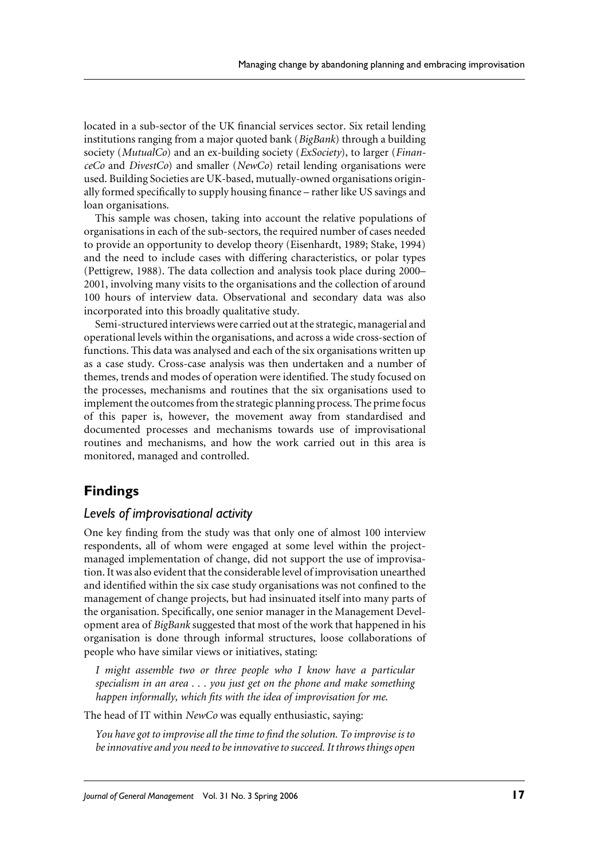located in a sub-sector of the UK financial services sector. Six retail lending institutions ranging from a major quoted bank (BigBank) through a building society (MutualCo) and an ex-building society (ExSociety), to larger (Finan $ceCo$  and  $DivestCo$  and smaller (NewCo) retail lending organisations were used. Building Societies are UK-based, mutually-owned organisations originally formed specifically to supply housing finance – rather like US savings and loan organisations.

This sample was chosen, taking into account the relative populations of organisations in each of the sub-sectors, the required number of cases needed to provide an opportunity to develop theory (Eisenhardt, 1989; Stake, 1994) and the need to include cases with differing characteristics, or polar types (Pettigrew, 1988). The data collection and analysis took place during 2000– 2001, involving many visits to the organisations and the collection of around 100 hours of interview data. Observational and secondary data was also incorporated into this broadly qualitative study.

Semi-structured interviews were carried out at the strategic, managerial and operational levels within the organisations, and across a wide cross-section of functions. This data was analysed and each of the six organisations written up as a case study. Cross-case analysis was then undertaken and a number of themes, trends and modes of operation were identified. The study focused on the processes, mechanisms and routines that the six organisations used to implement the outcomes from the strategic planning process. The prime focus of this paper is, however, the movement away from standardised and documented processes and mechanisms towards use of improvisational routines and mechanisms, and how the work carried out in this area is monitored, managed and controlled.

## **Findings**

#### Levels of improvisational activity

One key finding from the study was that only one of almost 100 interview respondents, all of whom were engaged at some level within the projectmanaged implementation of change, did not support the use of improvisation. It was also evident that the considerable level of improvisation unearthed and identified within the six case study organisations was not confined to the management of change projects, but had insinuated itself into many parts of the organisation. Specifically, one senior manager in the Management Development area of BigBank suggested that most of the work that happened in his organisation is done through informal structures, loose collaborations of people who have similar views or initiatives, stating:

I might assemble two or three people who I know have a particular specialism in an area  $\ldots$  you just get on the phone and make something happen informally, which fits with the idea of improvisation for me.

The head of IT within NewCo was equally enthusiastic, saying:

You have got to improvise all the time to find the solution. To improvise is to be innovative and you need to be innovative to succeed. It throws things open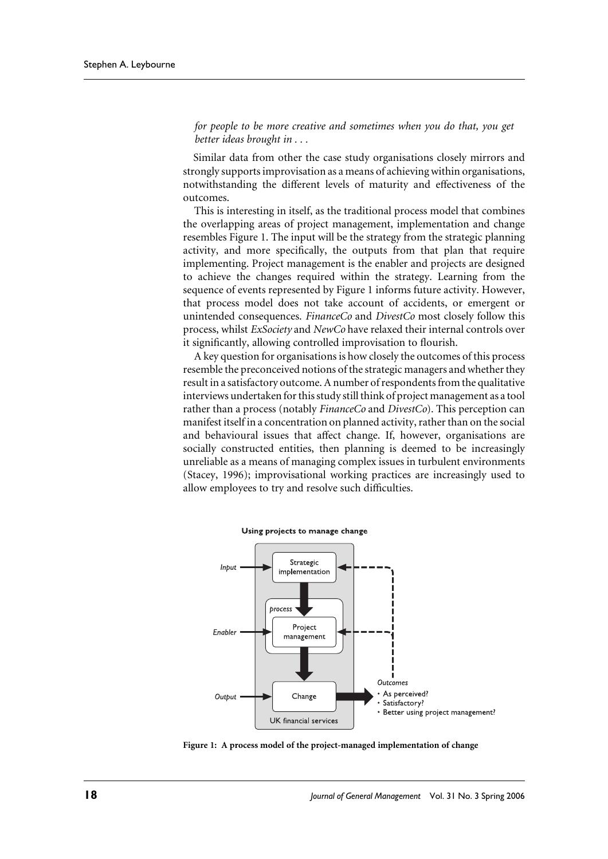for people to be more creative and sometimes when you do that, you get better ideas brought in . . .

Similar data from other the case study organisations closely mirrors and strongly supports improvisation as a means of achieving within organisations, notwithstanding the different levels of maturity and effectiveness of the outcomes.

This is interesting in itself, as the traditional process model that combines the overlapping areas of project management, implementation and change resembles Figure 1. The input will be the strategy from the strategic planning activity, and more specifically, the outputs from that plan that require implementing. Project management is the enabler and projects are designed to achieve the changes required within the strategy. Learning from the sequence of events represented by Figure 1 informs future activity. However, that process model does not take account of accidents, or emergent or unintended consequences. FinanceCo and DivestCo most closely follow this process, whilst ExSociety and NewCo have relaxed their internal controls over it significantly, allowing controlled improvisation to flourish.

A key question for organisations is how closely the outcomes of this process resemble the preconceived notions of the strategic managers and whether they result in a satisfactory outcome. A number of respondents from the qualitative interviews undertaken for this study still think of project management as a tool rather than a process (notably *FinanceCo* and *DivestCo*). This perception can manifest itself in a concentration on planned activity, rather than on the social and behavioural issues that affect change. If, however, organisations are socially constructed entities, then planning is deemed to be increasingly unreliable as a means of managing complex issues in turbulent environments (Stacey, 1996); improvisational working practices are increasingly used to allow employees to try and resolve such difficulties.



Using projects to manage change

Figure 1: A process model of the project-managed implementation of change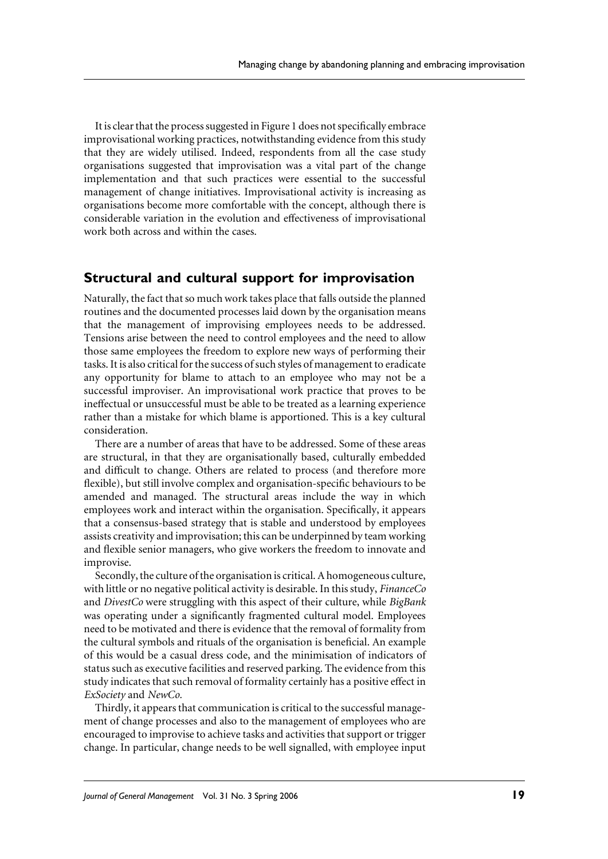It is clear that the process suggested in Figure 1 does not specifically embrace improvisational working practices, notwithstanding evidence from this study that they are widely utilised. Indeed, respondents from all the case study organisations suggested that improvisation was a vital part of the change implementation and that such practices were essential to the successful management of change initiatives. Improvisational activity is increasing as organisations become more comfortable with the concept, although there is considerable variation in the evolution and effectiveness of improvisational work both across and within the cases.

## Structural and cultural support for improvisation

Naturally, the fact that so much work takes place that falls outside the planned routines and the documented processes laid down by the organisation means that the management of improvising employees needs to be addressed. Tensions arise between the need to control employees and the need to allow those same employees the freedom to explore new ways of performing their tasks. It is also critical for the success of such styles of management to eradicate any opportunity for blame to attach to an employee who may not be a successful improviser. An improvisational work practice that proves to be ineffectual or unsuccessful must be able to be treated as a learning experience rather than a mistake for which blame is apportioned. This is a key cultural consideration.

There are a number of areas that have to be addressed. Some of these areas are structural, in that they are organisationally based, culturally embedded and difficult to change. Others are related to process (and therefore more flexible), but still involve complex and organisation-specific behaviours to be amended and managed. The structural areas include the way in which employees work and interact within the organisation. Specifically, it appears that a consensus-based strategy that is stable and understood by employees assists creativity and improvisation; this can be underpinned by team working and flexible senior managers, who give workers the freedom to innovate and improvise.

Secondly, the culture of the organisation is critical. A homogeneous culture, with little or no negative political activity is desirable. In this study, *FinanceCo* and DivestCo were struggling with this aspect of their culture, while BigBank was operating under a significantly fragmented cultural model. Employees need to be motivated and there is evidence that the removal of formality from the cultural symbols and rituals of the organisation is beneficial. An example of this would be a casual dress code, and the minimisation of indicators of status such as executive facilities and reserved parking. The evidence from this study indicates that such removal of formality certainly has a positive effect in ExSociety and NewCo.

Thirdly, it appears that communication is critical to the successful management of change processes and also to the management of employees who are encouraged to improvise to achieve tasks and activities that support or trigger change. In particular, change needs to be well signalled, with employee input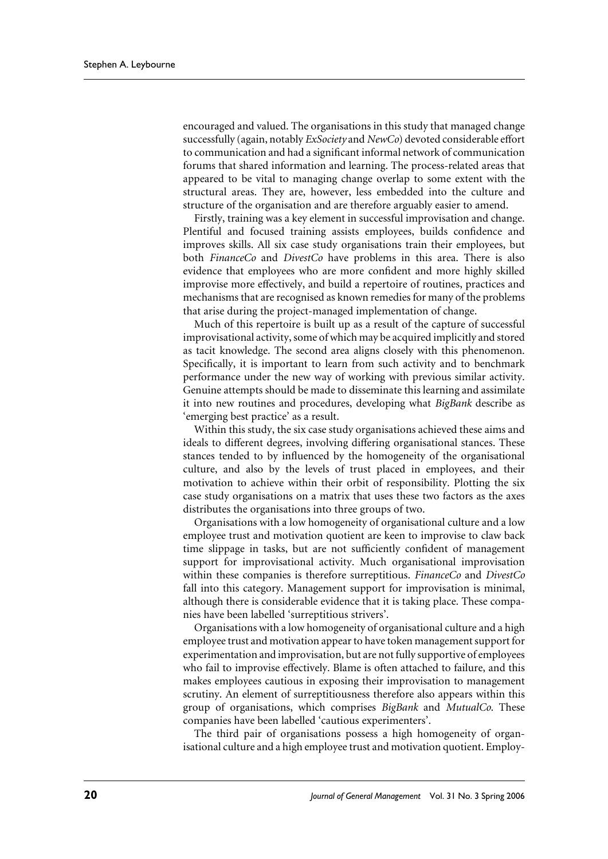encouraged and valued. The organisations in this study that managed change successfully (again, notably ExSociety and NewCo) devoted considerable effort to communication and had a significant informal network of communication forums that shared information and learning. The process-related areas that appeared to be vital to managing change overlap to some extent with the structural areas. They are, however, less embedded into the culture and structure of the organisation and are therefore arguably easier to amend.

Firstly, training was a key element in successful improvisation and change. Plentiful and focused training assists employees, builds confidence and improves skills. All six case study organisations train their employees, but both FinanceCo and DivestCo have problems in this area. There is also evidence that employees who are more confident and more highly skilled improvise more effectively, and build a repertoire of routines, practices and mechanisms that are recognised as known remedies for many of the problems that arise during the project-managed implementation of change.

Much of this repertoire is built up as a result of the capture of successful improvisational activity, some of which may be acquired implicitly and stored as tacit knowledge. The second area aligns closely with this phenomenon. Specifically, it is important to learn from such activity and to benchmark performance under the new way of working with previous similar activity. Genuine attempts should be made to disseminate this learning and assimilate it into new routines and procedures, developing what BigBank describe as 'emerging best practice' as a result.

Within this study, the six case study organisations achieved these aims and ideals to different degrees, involving differing organisational stances. These stances tended to by influenced by the homogeneity of the organisational culture, and also by the levels of trust placed in employees, and their motivation to achieve within their orbit of responsibility. Plotting the six case study organisations on a matrix that uses these two factors as the axes distributes the organisations into three groups of two.

Organisations with a low homogeneity of organisational culture and a low employee trust and motivation quotient are keen to improvise to claw back time slippage in tasks, but are not sufficiently confident of management support for improvisational activity. Much organisational improvisation within these companies is therefore surreptitious. FinanceCo and DivestCo fall into this category. Management support for improvisation is minimal, although there is considerable evidence that it is taking place. These companies have been labelled 'surreptitious strivers'.

Organisations with a low homogeneity of organisational culture and a high employee trust and motivation appear to have token management support for experimentation and improvisation, but are not fully supportive of employees who fail to improvise effectively. Blame is often attached to failure, and this makes employees cautious in exposing their improvisation to management scrutiny. An element of surreptitiousness therefore also appears within this group of organisations, which comprises BigBank and MutualCo. These companies have been labelled 'cautious experimenters'.

The third pair of organisations possess a high homogeneity of organisational culture and a high employee trust and motivation quotient. Employ-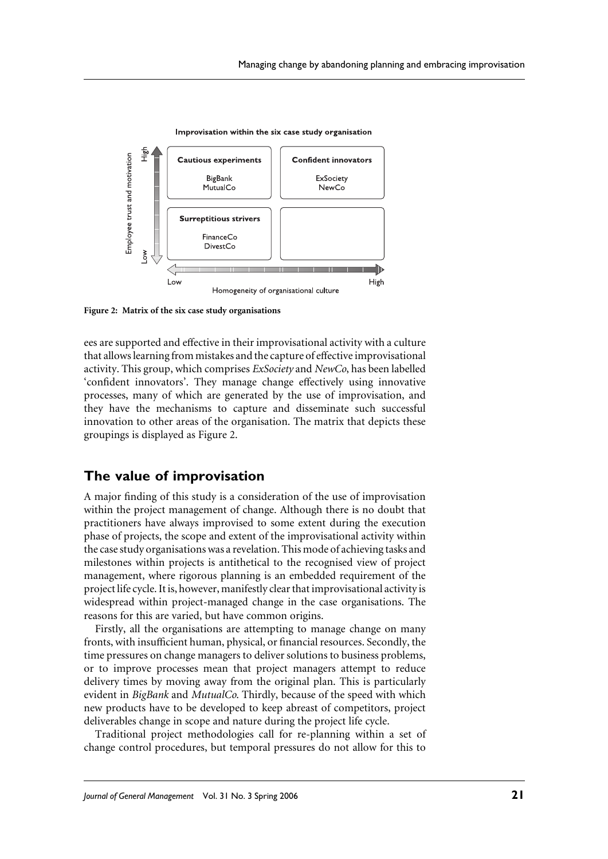

Improvisation within the six case study organisation

Figure 2: Matrix of the six case study organisations

ees are supported and effective in their improvisational activity with a culture that allows learning from mistakes and the capture of effective improvisational activity. This group, which comprises *ExSociety* and *NewCo*, has been labelled 'confident innovators'. They manage change effectively using innovative processes, many of which are generated by the use of improvisation, and they have the mechanisms to capture and disseminate such successful innovation to other areas of the organisation. The matrix that depicts these groupings is displayed as Figure 2.

## The value of improvisation

A major finding of this study is a consideration of the use of improvisation within the project management of change. Although there is no doubt that practitioners have always improvised to some extent during the execution phase of projects, the scope and extent of the improvisational activity within the case study organisations was a revelation. This mode of achieving tasks and milestones within projects is antithetical to the recognised view of project management, where rigorous planning is an embedded requirement of the project life cycle. It is, however, manifestly clear that improvisational activity is widespread within project-managed change in the case organisations. The reasons for this are varied, but have common origins.

Firstly, all the organisations are attempting to manage change on many fronts, with insufficient human, physical, or financial resources. Secondly, the time pressures on change managers to deliver solutions to business problems, or to improve processes mean that project managers attempt to reduce delivery times by moving away from the original plan. This is particularly evident in BigBank and MutualCo. Thirdly, because of the speed with which new products have to be developed to keep abreast of competitors, project deliverables change in scope and nature during the project life cycle.

Traditional project methodologies call for re-planning within a set of change control procedures, but temporal pressures do not allow for this to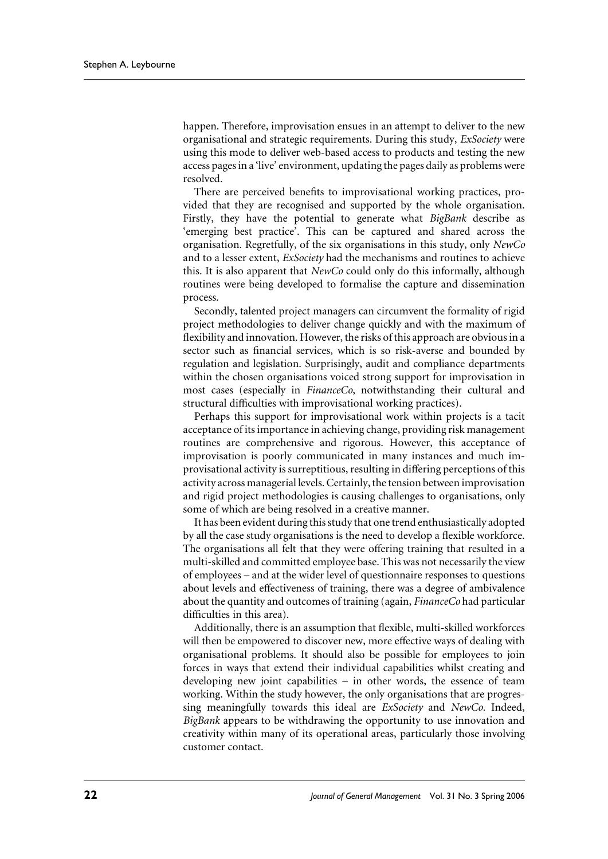happen. Therefore, improvisation ensues in an attempt to deliver to the new organisational and strategic requirements. During this study, *ExSociety* were using this mode to deliver web-based access to products and testing the new access pages in a 'live' environment, updating the pages daily as problems were resolved.

There are perceived benefits to improvisational working practices, provided that they are recognised and supported by the whole organisation. Firstly, they have the potential to generate what BigBank describe as 'emerging best practice'. This can be captured and shared across the organisation. Regretfully, of the six organisations in this study, only NewCo and to a lesser extent, ExSociety had the mechanisms and routines to achieve this. It is also apparent that *NewCo* could only do this informally, although routines were being developed to formalise the capture and dissemination process.

Secondly, talented project managers can circumvent the formality of rigid project methodologies to deliver change quickly and with the maximum of flexibility and innovation. However, the risks of this approach are obvious in a sector such as financial services, which is so risk-averse and bounded by regulation and legislation. Surprisingly, audit and compliance departments within the chosen organisations voiced strong support for improvisation in most cases (especially in *FinanceCo*, notwithstanding their cultural and structural difficulties with improvisational working practices).

Perhaps this support for improvisational work within projects is a tacit acceptance of its importance in achieving change, providing risk management routines are comprehensive and rigorous. However, this acceptance of improvisation is poorly communicated in many instances and much improvisational activity is surreptitious, resulting in differing perceptions of this activity across managerial levels. Certainly, the tension between improvisation and rigid project methodologies is causing challenges to organisations, only some of which are being resolved in a creative manner.

It has been evident during this study that one trend enthusiastically adopted by all the case study organisations is the need to develop a flexible workforce. The organisations all felt that they were offering training that resulted in a multi-skilled and committed employee base. This was not necessarily the view of employees - and at the wider level of questionnaire responses to questions about levels and effectiveness of training, there was a degree of ambivalence about the quantity and outcomes of training (again, *FinanceCo* had particular difficulties in this area).

Additionally, there is an assumption that flexible, multi-skilled workforces will then be empowered to discover new, more effective ways of dealing with organisational problems. It should also be possible for employees to join forces in ways that extend their individual capabilities whilst creating and developing new joint capabilities - in other words, the essence of team working. Within the study however, the only organisations that are progressing meaningfully towards this ideal are ExSociety and NewCo. Indeed, BigBank appears to be withdrawing the opportunity to use innovation and creativity within many of its operational areas, particularly those involving customer contact.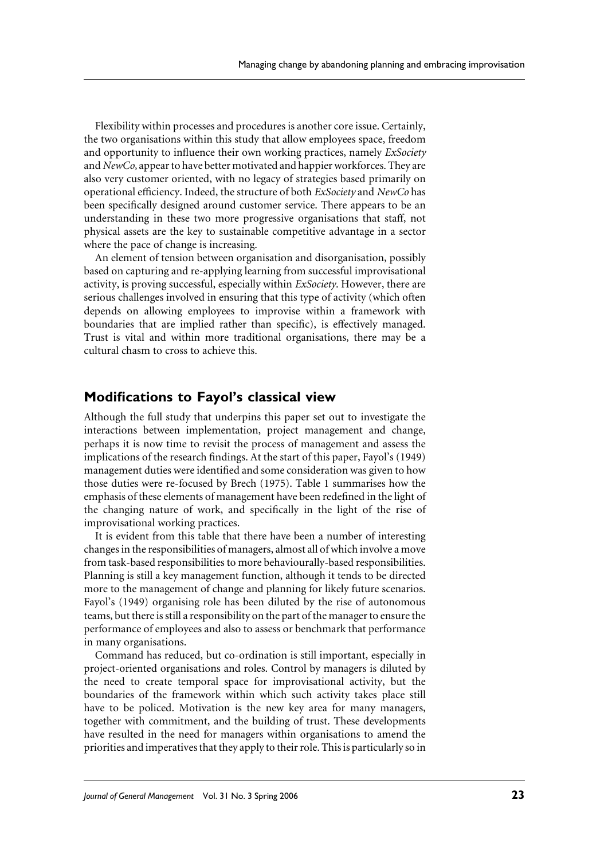Flexibility within processes and procedures is another core issue. Certainly, the two organisations within this study that allow employees space, freedom and opportunity to influence their own working practices, namely *ExSociety* and NewCo, appear to have better motivated and happier workforces. They are also very customer oriented, with no legacy of strategies based primarily on operational efficiency. Indeed, the structure of both ExSociety and NewCo has been specifically designed around customer service. There appears to be an understanding in these two more progressive organisations that staff, not physical assets are the key to sustainable competitive advantage in a sector where the pace of change is increasing.

An element of tension between organisation and disorganisation, possibly based on capturing and re-applying learning from successful improvisational activity, is proving successful, especially within ExSociety. However, there are serious challenges involved in ensuring that this type of activity (which often depends on allowing employees to improvise within a framework with boundaries that are implied rather than specific), is effectively managed. Trust is vital and within more traditional organisations, there may be a cultural chasm to cross to achieve this.

# Modifications to Fayol's classical view

Although the full study that underpins this paper set out to investigate the interactions between implementation, project management and change, perhaps it is now time to revisit the process of management and assess the implications of the research findings. At the start of this paper, Fayol's (1949) management duties were identified and some consideration was given to how those duties were re-focused by Brech (1975). Table 1 summarises how the emphasis of these elements of management have been redefined in the light of the changing nature of work, and specifically in the light of the rise of improvisational working practices.

It is evident from this table that there have been a number of interesting changes in the responsibilities of managers, almost all of which involve a move from task-based responsibilities to more behaviourally-based responsibilities. Planning is still a key management function, although it tends to be directed more to the management of change and planning for likely future scenarios. Fayol's (1949) organising role has been diluted by the rise of autonomous teams, but there is still a responsibility on the part of the manager to ensure the performance of employees and also to assess or benchmark that performance in many organisations.

Command has reduced, but co-ordination is still important, especially in project-oriented organisations and roles. Control by managers is diluted by the need to create temporal space for improvisational activity, but the boundaries of the framework within which such activity takes place still have to be policed. Motivation is the new key area for many managers, together with commitment, and the building of trust. These developments have resulted in the need for managers within organisations to amend the priorities and imperatives that they apply to their role. This is particularly so in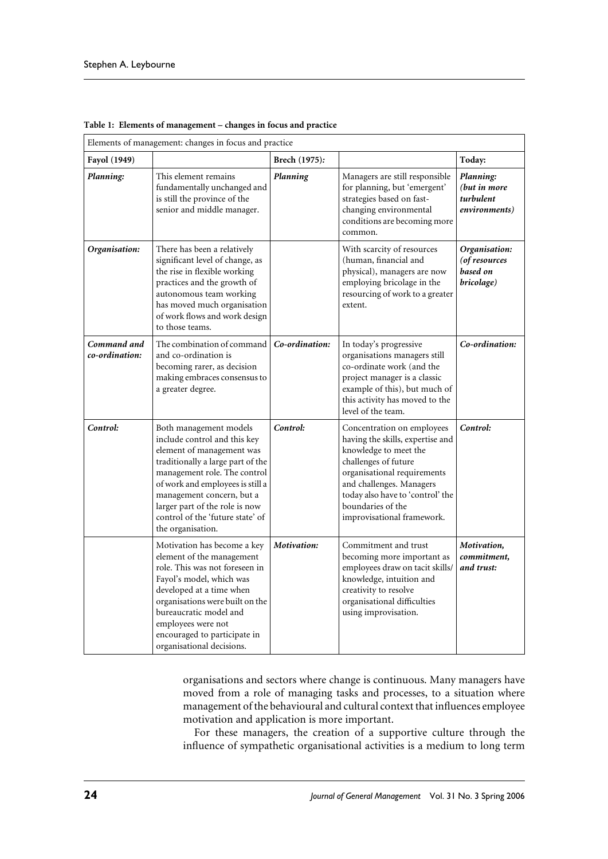| Elements of management: changes in focus and practice |                                                                                                                                                                                                                                                                                                                      |                |                                                                                                                                                                                                                                                                   |                                                          |  |  |
|-------------------------------------------------------|----------------------------------------------------------------------------------------------------------------------------------------------------------------------------------------------------------------------------------------------------------------------------------------------------------------------|----------------|-------------------------------------------------------------------------------------------------------------------------------------------------------------------------------------------------------------------------------------------------------------------|----------------------------------------------------------|--|--|
| Fayol (1949)                                          |                                                                                                                                                                                                                                                                                                                      | Brech (1975):  |                                                                                                                                                                                                                                                                   | Today:                                                   |  |  |
| Planning:                                             | This element remains<br>fundamentally unchanged and<br>is still the province of the<br>senior and middle manager.                                                                                                                                                                                                    | Planning       | Managers are still responsible<br>for planning, but 'emergent'<br>strategies based on fast-<br>changing environmental<br>conditions are becoming more<br>common.                                                                                                  | Planning:<br>(but in more<br>turbulent<br>environments)  |  |  |
| Organisation:                                         | There has been a relatively<br>significant level of change, as<br>the rise in flexible working<br>practices and the growth of<br>autonomous team working<br>has moved much organisation<br>of work flows and work design<br>to those teams.                                                                          |                | With scarcity of resources<br>(human, financial and<br>physical), managers are now<br>employing bricolage in the<br>resourcing of work to a greater<br>extent.                                                                                                    | Organisation:<br>(of resources<br>based on<br>bricolage) |  |  |
| Command and<br>co-ordination:                         | The combination of command<br>and co-ordination is<br>becoming rarer, as decision<br>making embraces consensus to<br>a greater degree.                                                                                                                                                                               | Co-ordination: | In today's progressive<br>organisations managers still<br>co-ordinate work (and the<br>project manager is a classic<br>example of this), but much of<br>this activity has moved to the<br>level of the team.                                                      | Co-ordination:                                           |  |  |
| Control:                                              | Both management models<br>include control and this key<br>element of management was<br>traditionally a large part of the<br>management role. The control<br>of work and employees is still a<br>management concern, but a<br>larger part of the role is now<br>control of the 'future state' of<br>the organisation. | Control:       | Concentration on employees<br>having the skills, expertise and<br>knowledge to meet the<br>challenges of future<br>organisational requirements<br>and challenges. Managers<br>today also have to 'control' the<br>boundaries of the<br>improvisational framework. | Control:                                                 |  |  |
|                                                       | Motivation has become a key<br>element of the management<br>role. This was not foreseen in<br>Fayol's model, which was<br>developed at a time when<br>organisations were built on the<br>bureaucratic model and<br>employees were not<br>encouraged to participate in<br>organisational decisions.                   | Motivation:    | Commitment and trust<br>becoming more important as<br>employees draw on tacit skills/<br>knowledge, intuition and<br>creativity to resolve<br>organisational difficulties<br>using improvisation.                                                                 | Motivation,<br>commitment,<br>and trust:                 |  |  |

Table 1: Elements of management - changes in focus and practice

organisations and sectors where change is continuous. Many managers have moved from a role of managing tasks and processes, to a situation where management of the behavioural and cultural context that influences employee motivation and application is more important.

For these managers, the creation of a supportive culture through the influence of sympathetic organisational activities is a medium to long term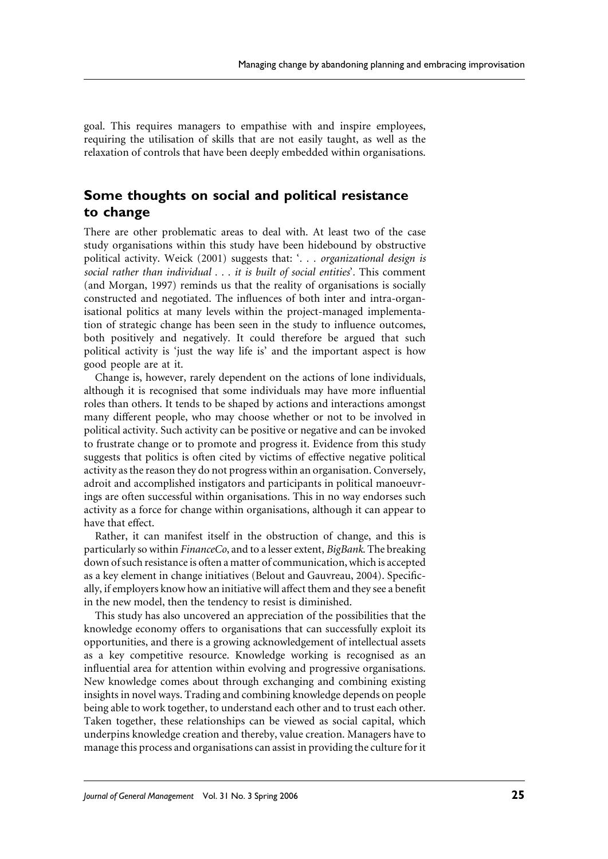goal. This requires managers to empathise with and inspire employees, requiring the utilisation of skills that are not easily taught, as well as the relaxation of controls that have been deeply embedded within organisations.

# Some thoughts on social and political resistance to change

There are other problematic areas to deal with. At least two of the case study organisations within this study have been hidebound by obstructive political activity. Weick (2001) suggests that: '. . . organizational design is social rather than individual . . . it is built of social entities'. This comment (and Morgan, 1997) reminds us that the reality of organisations is socially constructed and negotiated. The influences of both inter and intra-organisational politics at many levels within the project-managed implementation of strategic change has been seen in the study to influence outcomes, both positively and negatively. It could therefore be argued that such political activity is 'just the way life is' and the important aspect is how good people are at it.

Change is, however, rarely dependent on the actions of lone individuals, although it is recognised that some individuals may have more influential roles than others. It tends to be shaped by actions and interactions amongst many different people, who may choose whether or not to be involved in political activity. Such activity can be positive or negative and can be invoked to frustrate change or to promote and progress it. Evidence from this study suggests that politics is often cited by victims of effective negative political activity as the reason they do not progress within an organisation. Conversely, adroit and accomplished instigators and participants in political manoeuvrings are often successful within organisations. This in no way endorses such activity as a force for change within organisations, although it can appear to have that effect.

Rather, it can manifest itself in the obstruction of change, and this is particularly so within *FinanceCo*, and to a lesser extent, *BigBank*. The breaking down of such resistance is often a matter of communication, which is accepted as a key element in change initiatives (Belout and Gauvreau, 2004). Specifically, if employers know how an initiative will affect them and they see a benefit in the new model, then the tendency to resist is diminished.

This study has also uncovered an appreciation of the possibilities that the knowledge economy offers to organisations that can successfully exploit its opportunities, and there is a growing acknowledgement of intellectual assets as a key competitive resource. Knowledge working is recognised as an influential area for attention within evolving and progressive organisations. New knowledge comes about through exchanging and combining existing insights in novel ways. Trading and combining knowledge depends on people being able to work together, to understand each other and to trust each other. Taken together, these relationships can be viewed as social capital, which underpins knowledge creation and thereby, value creation. Managers have to manage this process and organisations can assist in providing the culture for it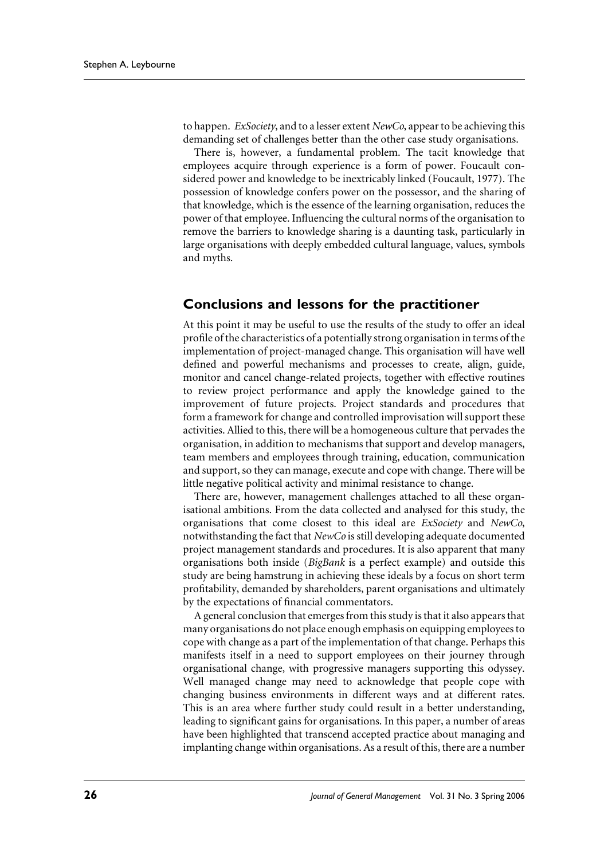to happen. *ExSociety*, and to a lesser extent *NewCo*, appear to be achieving this demanding set of challenges better than the other case study organisations.

There is, however, a fundamental problem. The tacit knowledge that employees acquire through experience is a form of power. Foucault considered power and knowledge to be inextricably linked (Foucault, 1977). The possession of knowledge confers power on the possessor, and the sharing of that knowledge, which is the essence of the learning organisation, reduces the power of that employee. Influencing the cultural norms of the organisation to remove the barriers to knowledge sharing is a daunting task, particularly in large organisations with deeply embedded cultural language, values, symbols and myths.

## **Conclusions and lessons for the practitioner**

At this point it may be useful to use the results of the study to offer an ideal profile of the characteristics of a potentially strong organisation in terms of the implementation of project-managed change. This organisation will have well defined and powerful mechanisms and processes to create, align, guide, monitor and cancel change-related projects, together with effective routines to review project performance and apply the knowledge gained to the improvement of future projects. Project standards and procedures that form a framework for change and controlled improvisation will support these activities. Allied to this, there will be a homogeneous culture that pervades the organisation, in addition to mechanisms that support and develop managers, team members and employees through training, education, communication and support, so they can manage, execute and cope with change. There will be little negative political activity and minimal resistance to change.

There are, however, management challenges attached to all these organisational ambitions. From the data collected and analysed for this study, the organisations that come closest to this ideal are ExSociety and NewCo, notwithstanding the fact that NewCo is still developing adequate documented project management standards and procedures. It is also apparent that many organisations both inside (BigBank is a perfect example) and outside this study are being hamstrung in achieving these ideals by a focus on short term profitability, demanded by shareholders, parent organisations and ultimately by the expectations of financial commentators.

A general conclusion that emerges from this study is that it also appears that many organisations do not place enough emphasis on equipping employees to cope with change as a part of the implementation of that change. Perhaps this manifests itself in a need to support employees on their journey through organisational change, with progressive managers supporting this odyssey. Well managed change may need to acknowledge that people cope with changing business environments in different ways and at different rates. This is an area where further study could result in a better understanding, leading to significant gains for organisations. In this paper, a number of areas have been highlighted that transcend accepted practice about managing and implanting change within organisations. As a result of this, there are a number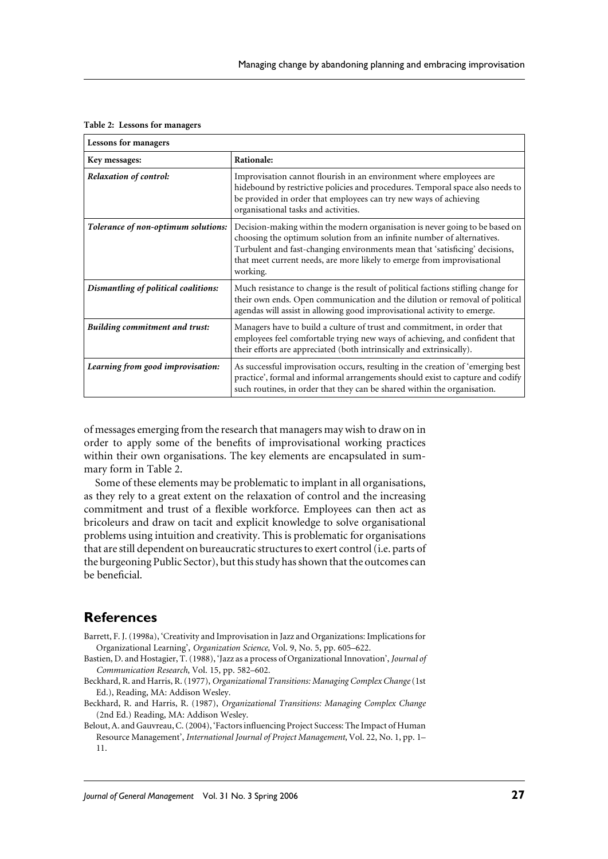|  |  |  | Table 2: Lessons for managers |
|--|--|--|-------------------------------|
|--|--|--|-------------------------------|

| <b>Lessons for managers</b>           |                                                                                                                                                                                                                                                                                                                              |  |  |
|---------------------------------------|------------------------------------------------------------------------------------------------------------------------------------------------------------------------------------------------------------------------------------------------------------------------------------------------------------------------------|--|--|
| Key messages:                         | Rationale:                                                                                                                                                                                                                                                                                                                   |  |  |
| <b>Relaxation of control:</b>         | Improvisation cannot flourish in an environment where employees are<br>hidebound by restrictive policies and procedures. Temporal space also needs to<br>be provided in order that employees can try new ways of achieving<br>organisational tasks and activities.                                                           |  |  |
| Tolerance of non-optimum solutions:   | Decision-making within the modern organisation is never going to be based on<br>choosing the optimum solution from an infinite number of alternatives.<br>Turbulent and fast-changing environments mean that 'satisficing' decisions,<br>that meet current needs, are more likely to emerge from improvisational<br>working. |  |  |
| Dismantling of political coalitions:  | Much resistance to change is the result of political factions stifling change for<br>their own ends. Open communication and the dilution or removal of political<br>agendas will assist in allowing good improvisational activity to emerge.                                                                                 |  |  |
| <b>Building commitment and trust:</b> | Managers have to build a culture of trust and commitment, in order that<br>employees feel comfortable trying new ways of achieving, and confident that<br>their efforts are appreciated (both intrinsically and extrinsically).                                                                                              |  |  |
| Learning from good improvisation:     | As successful improvisation occurs, resulting in the creation of 'emerging best<br>practice', formal and informal arrangements should exist to capture and codify<br>such routines, in order that they can be shared within the organisation.                                                                                |  |  |

of messages emerging from the research that managers may wish to draw on in order to apply some of the benefits of improvisational working practices within their own organisations. The key elements are encapsulated in summary form in Table 2.

Some of these elements may be problematic to implant in all organisations, as they rely to a great extent on the relaxation of control and the increasing commitment and trust of a flexible workforce. Employees can then act as bricoleurs and draw on tacit and explicit knowledge to solve organisational problems using intuition and creativity. This is problematic for organisations that are still dependent on bureaucratic structures to exert control (i.e. parts of the burgeoning Public Sector), but this study has shown that the outcomes can be beneficial.

#### **References**

- Barrett, F. J. (1998a), 'Creativity and Improvisation in Jazz and Organizations: Implications for Organizational Learning', Organization Science, Vol. 9, No. 5, pp. 605-622.
- Bastien, D. and Hostagier, T. (1988), 'Jazz as a process of Organizational Innovation', Journal of Communication Research, Vol. 15, pp. 582-602.
- Beckhard, R. and Harris, R. (1977), Organizational Transitions: Managing Complex Change (1st Ed.), Reading, MA: Addison Wesley.
- Beckhard, R. and Harris, R. (1987), Organizational Transitions: Managing Complex Change (2nd Ed.) Reading, MA: Addison Wesley.
- Belout, A. and Gauvreau, C. (2004), 'Factors influencing Project Success: The Impact of Human Resource Management', International Journal of Project Management, Vol. 22, No. 1, pp. 1– 11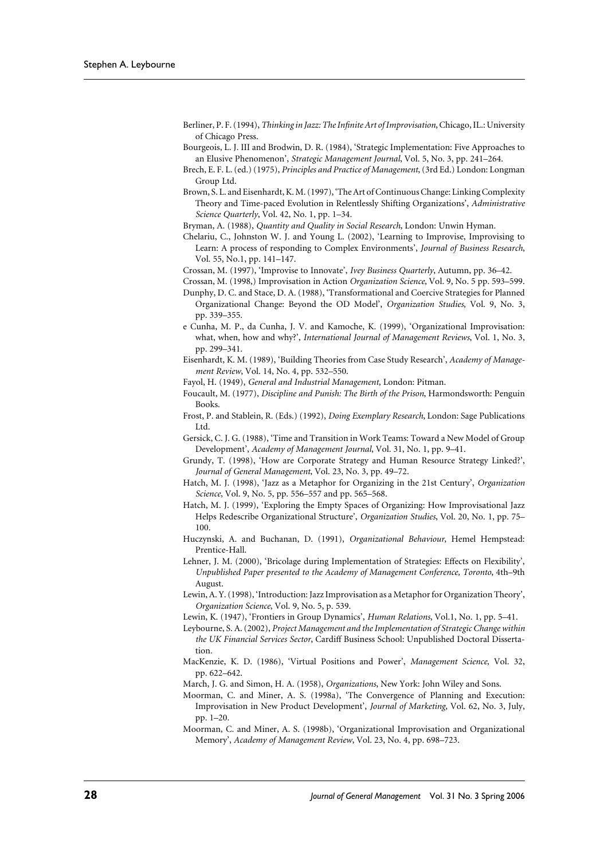- Berliner, P. F. (1994), Thinking in Jazz: The Infinite Art of Improvisation, Chicago, IL.: University of Chicago Press.
- Bourgeois, L. J. III and Brodwin, D. R. (1984), 'Strategic Implementation: Five Approaches to an Elusive Phenomenon', Strategic Management Journal, Vol. 5, No. 3, pp. 241-264.
- Brech, E. F. L. (ed.) (1975), Principles and Practice of Management, (3rd Ed.) London: Longman Group Ltd.
- Brown, S. L. and Eisenhardt, K. M. (1997), 'The Art of Continuous Change: Linking Complexity Theory and Time-paced Evolution in Relentlessly Shifting Organizations', Administrative Science Quarterly, Vol. 42, No. 1, pp. 1-34.
- Bryman, A. (1988), Quantity and Quality in Social Research, London: Unwin Hyman.
- Chelariu, C., Johnston W. J. and Young L. (2002), 'Learning to Improvise, Improvising to Learn: A process of responding to Complex Environments', Journal of Business Research, Vol. 55, No.1, pp. 141-147.
- Crossan, M. (1997), 'Improvise to Innovate', Ivey Business Quarterly, Autumn, pp. 36-42.
- Crossan, M. (1998,) Improvisation in Action Organization Science, Vol. 9, No. 5 pp. 593-599.
- Dunphy, D. C. and Stace, D. A. (1988), 'Transformational and Coercive Strategies for Planned Organizational Change: Beyond the OD Model', Organization Studies, Vol. 9, No. 3, pp. 339-355.
- e Cunha, M. P., da Cunha, J. V. and Kamoche, K. (1999), 'Organizational Improvisation: what, when, how and why?', International Journal of Management Reviews, Vol. 1, No. 3, pp. 299-341.
- Eisenhardt, K. M. (1989), 'Building Theories from Case Study Research', Academy of Management Review, Vol. 14, No. 4, pp. 532-550.
- Fayol, H. (1949), General and Industrial Management, London: Pitman.
- Foucault, M. (1977), Discipline and Punish: The Birth of the Prison, Harmondsworth: Penguin Books.
- Frost, P. and Stablein, R. (Eds.) (1992), Doing Exemplary Research, London: Sage Publications Ltd.
- Gersick, C. J. G. (1988), 'Time and Transition in Work Teams: Toward a New Model of Group Development', Academy of Management Journal, Vol. 31, No. 1, pp. 9-41.
- Grundy, T. (1998), 'How are Corporate Strategy and Human Resource Strategy Linked?', Journal of General Management, Vol. 23, No. 3, pp. 49-72.
- Hatch, M. J. (1998), 'Jazz as a Metaphor for Organizing in the 21st Century', Organization Science, Vol. 9, No. 5, pp. 556-557 and pp. 565-568.
- Hatch, M. J. (1999), 'Exploring the Empty Spaces of Organizing: How Improvisational Jazz Helps Redescribe Organizational Structure', Organization Studies, Vol. 20, No. 1, pp. 75-100.
- Huczynski, A. and Buchanan, D. (1991), Organizational Behaviour, Hemel Hempstead: Prentice-Hall.
- Lehner, J. M. (2000), 'Bricolage during Implementation of Strategies: Effects on Flexibility', Unpublished Paper presented to the Academy of Management Conference, Toronto, 4th-9th August.
- Lewin, A.Y. (1998), 'Introduction: Jazz Improvisation as a Metaphor for Organization Theory', Organization Science, Vol. 9, No. 5, p. 539.
- Lewin, K. (1947), 'Frontiers in Group Dynamics', Human Relations, Vol.1, No. 1, pp. 5-41.
- Leybourne, S. A. (2002), Project Management and the Implementation of Strategic Change within the UK Financial Services Sector, Cardiff Business School: Unpublished Doctoral Dissertation.
- MacKenzie, K. D. (1986), 'Virtual Positions and Power', Management Science, Vol. 32, pp. 622-642.
- March, J. G. and Simon, H. A. (1958), Organizations, New York: John Wiley and Sons.
- Moorman, C. and Miner, A. S. (1998a), 'The Convergence of Planning and Execution: Improvisation in New Product Development', Journal of Marketing, Vol. 62, No. 3, July, pp. 1-20.
- Moorman, C. and Miner, A. S. (1998b), 'Organizational Improvisation and Organizational Memory', Academy of Management Review, Vol. 23, No. 4, pp. 698-723.